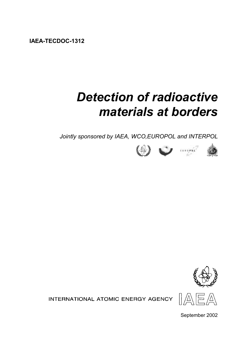**IAEA-TECDOC-1312** 

# *Detection of radioactive materials at borders*

*Jointly sponsored by IAEA, WCO,EUROPOL and INTERPOL*







INTERNATIONAL ATOMIC ENERGY AGENCY

September 2002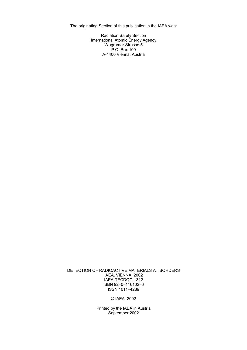The originating Section of this publication in the IAEA was:

Radiation Safety Section International Atomic Energy Agency Wagramer Strasse 5 P.O. Box 100 A-1400 Vienna, Austria

DETECTION OF RADIOACTIVE MATERIALS AT BORDERS IAEA, VIENNA, 2002 IAEA-TECDOC-1312 ISBN 92–0–116102–6 ISSN 1011–4289

© IAEA, 2002

Printed by the IAEA in Austria September 2002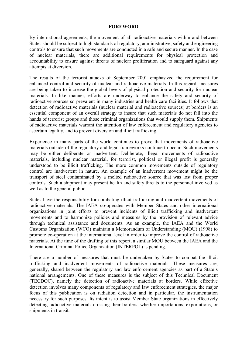#### **FOREWORD**

By international agreements, the movement of all radioactive materials within and between States should be subject to high standards of regulatory, administrative, safety and engineering controls to ensure that such movements are conducted in a safe and secure manner. In the case of nuclear materials, there are additional requirements for physical protection and accountability to ensure against threats of nuclear proliferation and to safeguard against any attempts at diversion.

The results of the terrorist attacks of September 2001 emphasized the requirement for enhanced control and security of nuclear and radioactive materials. In this regard, measures are being taken to increase the global levels of physical protection and security for nuclear materials. In like manner, efforts are underway to enhance the safety and security of radioactive sources so prevalent in many industries and health care facilities. It follows that detection of radioactive materials (nuclear material and radioactive sources) at borders is an essential component of an overall strategy to insure that such materials do not fall into the hands of terrorist groups and those criminal organizations that would supply them. Shipments of radioactive materials warrant the attention of law enforcement and regulatory agencies to ascertain legality, and to prevent diversion and illicit trafficking.

Experience in many parts of the world continues to prove that movements of radioactive materials outside of the regulatory and legal frameworks continue to occur. Such movements may be either deliberate or inadvertent. Deliberate, illegal movements of radioactive materials, including nuclear material, for terrorist, political or illegal profit is generally understood to be illicit trafficking. The more common movements outside of regulatory control are inadvertent in nature. An example of an inadvertent movement might be the transport of steel contaminated by a melted radioactive source that was lost from proper controls. Such a shipment may present health and safety threats to the personnel involved as well as to the general public.

States have the responsibility for combating illicit trafficking and inadvertent movements of radioactive materials. The IAEA co-operates with Member States and other international organizations in joint efforts to prevent incidents of illicit trafficking and inadvertent movements and to harmonize policies and measures by the provision of relevant advice through technical assistance and documents. As an example, the IAEA and the World Customs Organization (WCO) maintain a Memorandum of Understanding (MOU) (1998) to promote co-operation at the international level in order to improve the control of radioactive materials. At the time of the drafting of this report, a similar MOU between the IAEA and the International Criminal Police Organization (INTERPOL) is pending.

There are a number of measures that must be undertaken by States to combat the illicit trafficking and inadvertent movements of radioactive materials. These measures are, generally, shared between the regulatory and law enforcement agencies as part of a State's national arrangements. One of these measures is the subject of this Technical Document (TECDOC), namely the detection of radioactive materials at borders. While effective detection involves many components of regulatory and law enforcement strategies, the major focus of this publication is on radiation detection and in particular, the instrumentation necessary for such purposes. Its intent is to assist Member State organizations in effectively detecting radioactive materials crossing their borders, whether importations, exportations, or shipments in transit.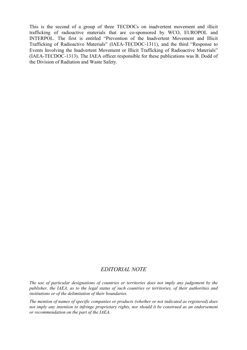This is the second of a group of three TECDOCs on inadvertent movement and illicit trafficking of radioactive materials that are co-sponsored by WCO, EUROPOL and INTERPOL. The first is entitled "Prevention of the Inadvertent Movement and Illicit Trafficking of Radioactive Materials" (IAEA-TECDOC-1311), and the third "Response to Events Involving the Inadvertent Movement or Illicit Trafficking of Radioactive Materials" (IAEA-TECDOC-1313). The IAEA officer responsible for these publications was B. Dodd of the Division of Radiation and Waste Safety.

# *EDITORIAL NOTE*

*The use of particular designations of countries or territories does not imply any judgement by the publisher, the IAEA, as to the legal status of such countries or territories, of their authorities and institutions or of the delimitation of their boundaries.* 

*The mention of names of specific companies or products (whether or not indicated as registered) does not imply any intention to infringe proprietary rights, nor should it be construed as an endorsement or recommendation on the part of the IAEA.*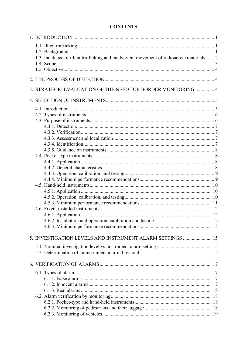# **CONTENTS**

| 1.3. Incidence of illicit trafficking and inadvertent movement of radioactive materials 2 |  |
|-------------------------------------------------------------------------------------------|--|
|                                                                                           |  |
| 3. STRATEGIC EVALUATION OF THE NEED FOR BORDER MONITORING  4                              |  |
|                                                                                           |  |
|                                                                                           |  |
|                                                                                           |  |
|                                                                                           |  |
|                                                                                           |  |
|                                                                                           |  |
|                                                                                           |  |
|                                                                                           |  |
|                                                                                           |  |
|                                                                                           |  |
|                                                                                           |  |
|                                                                                           |  |
|                                                                                           |  |
|                                                                                           |  |
|                                                                                           |  |
|                                                                                           |  |
|                                                                                           |  |
|                                                                                           |  |
|                                                                                           |  |
|                                                                                           |  |
|                                                                                           |  |
|                                                                                           |  |
|                                                                                           |  |
| 5. INVESTIGATION LEVELS AND INSTRUMENT ALARM SETTINGS  15                                 |  |
|                                                                                           |  |
|                                                                                           |  |
|                                                                                           |  |
|                                                                                           |  |
|                                                                                           |  |
|                                                                                           |  |
|                                                                                           |  |
|                                                                                           |  |
|                                                                                           |  |
|                                                                                           |  |
|                                                                                           |  |
|                                                                                           |  |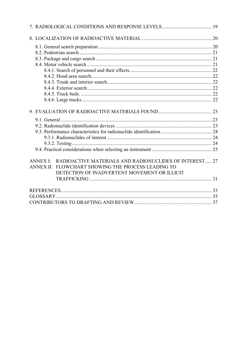| <b>ANNEX I:</b> | RADIOACTIVE MATERIALS AND RADIONUCLIDES OF INTEREST  27 |  |
|-----------------|---------------------------------------------------------|--|
|                 | ANNEX II: FLOWCHART SHOWING THE PROCESS LEADING TO      |  |
|                 | DETECTION OF INADVERTENT MOVEMENT OR ILLICIT            |  |
|                 |                                                         |  |
|                 |                                                         |  |
|                 |                                                         |  |
|                 |                                                         |  |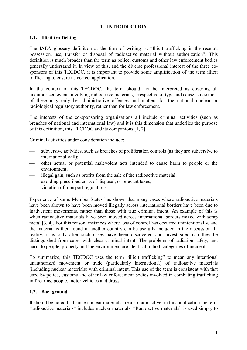## **1. INTRODUCTION**

## **1.1. Illicit trafficking**

The IAEA glossary definition at the time of writing is: "Illicit trafficking is the receipt, possession, use, transfer or disposal of radioactive material without authorization". This definition is much broader than the term as police, customs and other law enforcement bodies generally understand it. In view of this, and the diverse professional interest of the three cosponsors of this TECDOC, it is important to provide some amplification of the term illicit trafficking to ensure its correct application.

In the context of this TECDOC, the term should not be interpreted as covering all unauthorized events involving radioactive materials, irrespective of type and cause, since most of these may only be administrative offences and matters for the national nuclear or radiological regulatory authority, rather than for law enforcement.

The interests of the co-sponsoring organizations all include criminal activities (such as breaches of national and international law) and it is this dimension that underlies the purpose of this definition, this TECDOC and its companions [1, 2].

Criminal activities under consideration include:

- subversive activities, such as breaches of proliferation controls (as they are subversive to international will);
- other actual or potential malevolent acts intended to cause harm to people or the environment;
- illegal gain, such as profits from the sale of the radioactive material;
- avoiding prescribed costs of disposal, or relevant taxes;
- violation of transport regulations.

Experience of some Member States has shown that many cases where radioactive materials have been shown to have been moved illegally across international borders have been due to inadvertent movements, rather than those with true criminal intent. An example of this is when radioactive materials have been moved across international borders mixed with scrap metal [3, 4]. For this reason, instances where loss of control has occurred unintentionally, and the material is then found in another country can be usefully included in the discussion. In reality, it is only after such cases have been discovered and investigated can they be distinguished from cases with clear criminal intent. The problems of radiation safety, and harm to people, property and the environment are identical in both categories of incident.

To summarize, this TECDOC uses the term "illicit trafficking" to mean any intentional unauthorized movement or trade (particularly international) of radioactive materials (including nuclear materials) with criminal intent. This use of the term is consistent with that used by police, customs and other law enforcement bodies involved in combating trafficking in firearms, people, motor vehicles and drugs.

## **1.2. Background**

It should be noted that since nuclear materials are also radioactive, in this publication the term "radioactive materials" includes nuclear materials. "Radioactive materials" is used simply to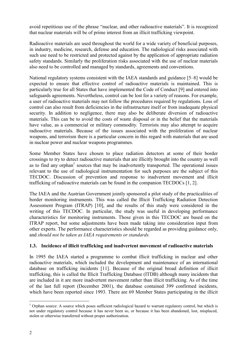avoid repetitious use of the phrase "nuclear, and other radioactive materials". It is recognized that nuclear materials will be of prime interest from an illicit trafficking viewpoint.

Radioactive materials are used throughout the world for a wide variety of beneficial purposes, in industry, medicine, research, defense and education. The radiological risks associated with such use need to be restricted and protected against by the application of appropriate radiation safety standards. Similarly the proliferation risks associated with the use of nuclear materials also need to be controlled and managed by standards, agreements and conventions.

National regulatory systems consistent with the IAEA standards and guidance [5–8] would be expected to ensure that effective control of radioactive materials is maintained. This is particularly true for all States that have implemented the Code of Conduct [9] and entered into safeguards agreements. Nevertheless, control can be lost for a variety of reasons. For example, a user of radioactive materials may not follow the procedures required by regulations. Loss of control can also result from deficiencies in the infrastructure itself or from inadequate physical security. In addition to negligence, there may also be deliberate diversion of radioactive materials. This can be to avoid the costs of waste disposal or in the belief that the materials have value, as a commercial or military commodity. Terrorists may also attempt to acquire radioactive materials. Because of the issues associated with the proliferation of nuclear weapons, and terrorism there is a particular concern in this regard with materials that are used in nuclear power and nuclear weapons programmes.

Some Member States have chosen to place radiation detectors at some of their border crossings to try to detect radioactive materials that are illicitly brought into the country as well as to find any orphan<sup>1</sup> sources that may be inadvertently transported. The operational issues relevant to the use of radiological instrumentation for such purposes are the subject of this TECDOC. Discussion of prevention and response to inadvertent movement and illicit trafficking of radioactive materials can be found in the companion TECDOCs [1, 2].

The IAEA and the Austrian Government jointly sponsored a pilot study of the practicalities of border monitoring instruments. This was called the Illicit Trafficking Radiation Detection Assessment Program (ITRAP) [10], and the results of this study were considered in the writing of this TECDOC. In particular, the study was useful in developing performance characteristics for monitoring instruments. Those given in this TECDOC are based on the ITRAP report, but some adjustments have been made taking into consideration input from other experts. The performance characteristics should be regarded as providing guidance only, and *should not be taken as IAEA requirements or standards.*

## **1.3. Incidence of illicit trafficking and inadvertent movement of radioactive materials**

In 1995 the IAEA started a programme to combat illicit trafficking in nuclear and other radioactive materials, which included the development and maintenance of an international database on trafficking incidents [11]. Because of the original broad definition of illicit trafficking, this is called the Illicit Trafficking Database (ITDB) although many incidents that are included in it are more inadvertent movement rather than illicit trafficking. As of the time of the last full report (December 2001), the database contained 399 confirmed incidents, which have been reported since 1993. There are 69 Member States participating in the illicit

 $1$  Orphan source: A source which poses sufficient radiological hazard to warrant regulatory control, but which is not under regulatory control because it has never been so, or because it has been abandoned, lost, misplaced, stolen or otherwise transferred without proper authorization.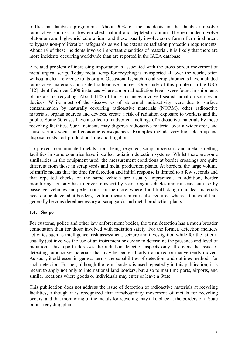trafficking database programme. About 90% of the incidents in the database involve radioactive sources, or low-enriched, natural and depleted uranium. The remainder involve plutonium and high-enriched uranium, and these usually involve some form of criminal intent to bypass non-proliferation safeguards as well as extensive radiation protection requirements. About 19 of these incidents involve important quantities of material. It is likely that there are more incidents occurring worldwide than are reported in the IAEA database.

A related problem of increasing importance is associated with the cross-border movement of metallurgical scrap. Today metal scrap for recycling is transported all over the world, often without a clear reference to its origin. Occasionally, such metal scrap shipments have included radioactive materials and sealed radioactive sources. One study of this problem in the USA [12] identified over 2300 instances where abnormal radiation levels were found in shipments of metals for recycling. About 11% of those instances involved sealed radiation sources or devices. While most of the discoveries of abnormal radioactivity were due to surface contamination by naturally occurring radioactive materials (NORM), other radioactive materials, orphan sources and devices, create a risk of radiation exposure to workers and the public. Some 50 cases have also led to inadvertent meltings of radioactive materials by those recycling facilities. Such incidents may disperse radioactive material over a wider area, and cause serious social and economic consequences. Examples include very high clean-up and disposal costs, lost production-time and litigation.

To prevent contaminated metals from being recycled, scrap processors and metal smelting facilities in some countries have installed radiation detection systems. Whilst there are some similarities in the equipment used, the measurement conditions at border crossings are quite different from those in scrap yards and metal production plants. At borders, the large volume of traffic means that the time for detection and initial response is limited to a few seconds and that repeated checks of the same vehicle are usually impractical. In addition, border monitoring not only has to cover transport by road freight vehicles and rail cars but also by passenger vehicles and pedestrians. Furthermore, where illicit trafficking in nuclear materials needs to be detected at borders, neutron measurement is also required whereas this would not generally be considered necessary at scrap yards and metal production plants.

# **1.4. Scope**

For customs, police and other law enforcement bodies, the term detection has a much broader connotation than for those involved with radiation safety. For the former, detection includes activities such as intelligence, risk assessment, seizure and investigation while for the latter it usually just involves the use of an instrument or device to determine the presence and level of radiation. This report addresses the radiation detection aspects only. It covers the issue of detecting radioactive materials that may be being illicitly trafficked or inadvertently moved. As such, it addresses in general terms the capabilities of detection, and outlines methods for such detection. Further, although the term borders is used repeatedly in this publication, it is meant to apply not only to international land borders, but also to maritime ports, airports, and similar locations where goods or individuals may enter or leave a State.

This publication does not address the issue of detection of radioactive materials at recycling facilities, although it is recognized that transboundary movement of metals for recycling occurs, and that monitoring of the metals for recycling may take place at the borders of a State or at a recycling plant.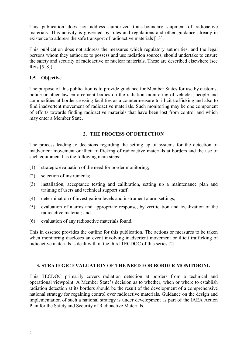This publication does not address authorized trans-boundary shipment of radioactive materials. This activity is governed by rules and regulations and other guidance already in existence to address the safe transport of radioactive materials [13].

This publication does not address the measures which regulatory authorities, and the legal persons whom they authorize to possess and use radiation sources, should undertake to ensure the safety and security of radioactive or nuclear materials. These are described elsewhere (see Refs [5–8]).

# **1.5. Objective**

The purpose of this publication is to provide guidance for Member States for use by customs, police or other law enforcement bodies on the radiation monitoring of vehicles, people and commodities at border crossing facilities as a countermeasure to illicit trafficking and also to find inadvertent movement of radioactive materials. Such monitoring may be one component of efforts towards finding radioactive materials that have been lost from control and which may enter a Member State.

# **2. THE PROCESS OF DETECTION**

The process leading to decisions regarding the setting up of systems for the detection of inadvertent movement or illicit trafficking of radioactive materials at borders and the use of such equipment has the following main steps:

- (1) strategic evaluation of the need for border monitoring;
- (2) selection of instruments;
- (3) installation, acceptance testing and calibration, setting up a maintenance plan and training of users and technical support staff;
- (4) determination of investigation levels and instrument alarm settings;
- (5) evaluation of alarms and appropriate response, by verification and localization of the radioactive material; and
- (6) evaluation of any radioactive materials found.

This in essence provides the outline for this publication. The actions or measures to be taken when monitoring discloses an event involving inadvertent movement or illicit trafficking of radioactive materials is dealt with in the third TECDOC of this series [2].

## **3. STRATEGIC EVALUATION OF THE NEED FOR BORDER MONITORING**

This TECDOC primarily covers radiation detection at borders from a technical and operational viewpoint. A Member State's decision as to whether, when or where to establish radiation detection at its borders should be the result of the development of a comprehensive national strategy for regaining control over radioactive materials. Guidance on the design and implementation of such a national strategy is under development as part of the IAEA Action Plan for the Safety and Security of Radioactive Materials.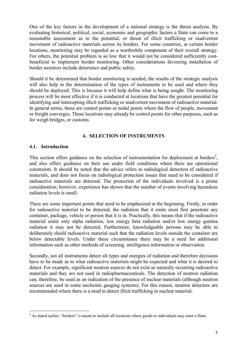One of the key factors in the development of a national strategy is the threat analysis. By evaluating historical, political, social, economic and geographic factors a State can come to a reasonable assessment as to the potential, or threat of illicit trafficking or inadvertent movement of radioactive materials across its borders. For some countries, at certain border locations, monitoring may be regarded as a worthwhile component of their overall strategy. For others, the potential problem is so low that it would not be considered sufficiently costbeneficial to implement border monitoring. Other considerations favouring installation of border monitors include deterrence and public safety.

Should it be determined that border monitoring is needed, the results of the strategic analysis will also help in the determination of the types of instruments to be used and where they should be deployed. This is because it will help define what is being sought. The monitoring process will be most effective if it is conducted at locations that have the greatest potential for identifying and intercepting illicit trafficking or inadvertent movement of radioactive material. In general terms, these are control points or nodal points where the flow of people, movement or freight converges. These locations may already be control points for other purposes, such as for weigh bridges, or customs.

## **4. SELECTION OF INSTRUMENTS**

## **4.1. Introduction**

This section offers guidance on the selection of instrumentation for deployment at borders<sup>2</sup>, and also offers guidance on their use under field conditions where there are operational constraints. It should be noted that the advice refers to radiological detection of radioactive materials, and does not focus on radiological protection issues that need to be considered if radioactive materials are detected. The protection of the individuals involved is a prime consideration; however, experience has shown that the number of events involving hazardous radiation levels is small.

There are some important points that need to be emphasized at the beginning. Firstly, in order for radioactive material to be detected, the radiation that it emits must first penetrate any container, package, vehicle or person that it is in. Practically, this means that if the radioactive material emits only alpha radiation, low energy beta radiation and/or low energy gamma radiation it may not be detected. Furthermore, knowledgeable persons may be able to deliberately shield radioactive material such that the radiation levels outside the container are below detectable levels. Under these circumstance there may be a need for additional information such as other methods of screening, intelligence information or observation.

Secondly, not all instruments detect all types and energies of radiation and therefore decisions have to be made as to what radioactive materials might be expected and what it is desired to detect. For example, significant neutron sources do not exist as naturally occurring radioactive materials and they are not used in radiopharmaceuticals. The detection of neutron radiation can, therefore, be used as an indication of the presence of nuclear materials (although neutron sources are used in some nucleonic gauging systems). For this reason, neutron detectors are recommended where there is a need to detect illicit trafficking in nuclear material.

 $2^2$  As stated earlier, "borders" is meant to include all locations where goods or individuals may enter a State.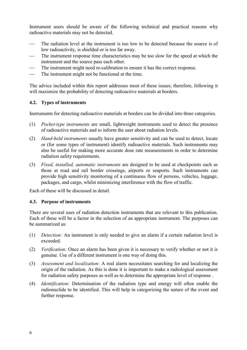Instrument users should be aware of the following technical and practical reasons why radioactive materials may not be detected.

- The radiation level at the instrument is too low to be detected because the source is of low radioactivity, is shielded or is too far away.
- The instrument response time characteristics may be too slow for the speed at which the instrument and the source pass each other.
- The instrument might need re-calibration to ensure it has the correct response.
- The instrument might not be functional at the time.

The advice included within this report addresses most of these issues; therefore, following it will maximize the probability of detecting radioactive materials at borders.

## **4.2. Types of instruments**

Instruments for detecting radioactive materials at borders can be divided into three categories.

- (1) *Pocket-type instruments* are small, lightweight instruments used to detect the presence of radioactive materials and to inform the user about radiation levels.
- (2) *Hand-held instruments* usually have greater sensitivity and can be used to detect, locate or (for some types of instrument) identify radioactive materials. Such instruments may also be useful for making more accurate dose rate measurements in order to determine radiation safety requirements.
- (3) *Fixed, installed, automatic instruments* are designed to be used at checkpoints such as those at road and rail border crossings, airports or seaports. Such instruments can provide high sensitivity monitoring of a continuous flow of persons, vehicles, luggage, packages, and cargo, whilst minimizing interference with the flow of traffic.

Each of these will be discussed in detail.

## **4.3. Purpose of instruments**

There are several uses of radiation detection instruments that are relevant to this publication. Each of these will be a factor in the selection of an appropriate instrument. The purposes can be summarized as:

- (1) *Detection:* An instrument is only needed to give an alarm if a certain radiation level is exceeded.
- (2) *Verification:* Once an alarm has been given it is necessary to verify whether or not it is genuine. Use of a different instrument is one way of doing this.
- (3) *Assessment and localization:* A real alarm necessitates searching for and localizing the origin of the radiation. As this is done it is important to make a radiological assessment for radiation safety purposes as well as to determine the appropriate level of response .
- (4) *Identification:* Determination of the radiation type and energy will often enable the radionuclide to be identified. This will help in categorizing the nature of the event and further response.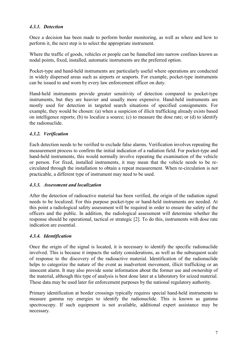# *4.3.1. Detection*

Once a decision has been made to perform border monitoring, as well as where and how to perform it, the next step is to select the appropriate instrument.

Where the traffic of goods, vehicles or people can be funnelled into narrow confines known as nodal points, fixed, installed, automatic instruments are the preferred option.

Pocket-type and hand-held instruments are particularly useful where operations are conducted in widely dispersed areas such as airports or seaports. For example, pocket-type instruments can be issued to and worn by every law enforcement officer on duty.

Hand-held instruments provide greater sensitivity of detection compared to pocket-type instruments, but they are heavier and usually more expensive. Hand-held instruments are mostly used for detection in targeted search situations of specified consignments. For example, they would be chosen: (a) when a suspicion of illicit trafficking already exists based on intelligence reports; (b) to localize a source; (c) to measure the dose rate; or (d) to identify the radionuclide.

# *4.3.2. Verification*

Each detection needs to be verified to exclude false alarms. Verification involves repeating the measurement process to confirm the initial indication of a radiation field. For pocket-type and hand-held instruments, this would normally involve repeating the examination of the vehicle or person. For fixed, installed instruments, it may mean that the vehicle needs to be recirculated through the installation to obtain a repeat measurement. When re-circulation is not practicable, a different type of instrument may need to be used.

## *4.3.3. Assessment and localization*

After the detection of radioactive material has been verified, the origin of the radiation signal needs to be localized. For this purpose pocket-type or hand-held instruments are needed. At this point a radiological safety assessment will be required in order to ensure the safety of the officers and the public. In addition, the radiological assessment will determine whether the response should be operational, tactical or strategic [2]. To do this, instruments with dose rate indication are essential.

## *4.3.4. Identification*

Once the origin of the signal is located, it is necessary to identify the specific radionuclide involved. This is because it impacts the safety considerations, as well as the subsequent scale of response to the discovery of the radioactive material. Identification of the radionuclide helps to categorize the nature of the event as inadvertent movement, illicit trafficking or an innocent alarm. It may also provide some information about the former use and ownership of the material, although this type of analysis is best done later at a laboratory for seized material. These data may be used later for enforcement purposes by the national regulatory authority.

Primary identification at border crossings typically requires special hand-held instruments to measure gamma ray energies to identify the radionuclide. This is known as gamma spectroscopy. If such equipment is not available, additional expert assistance may be necessary.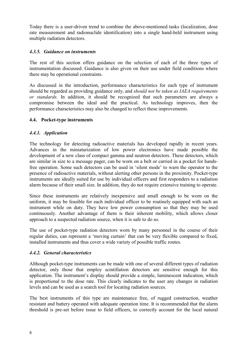Today there is a user-driven trend to combine the above-mentioned tasks (localization, dose rate measurement and radionuclide identification) into a single hand-held instrument using multiple radiation detectors.

# *4.3.5. Guidance on instruments*

The rest of this section offers guidance on the selection of each of the three types of instrumentation discussed. Guidance is also given on their use under field conditions where there may be operational constraints.

As discussed in the introduction, performance characteristics for each type of instrument should be regarded as providing guidance only, and *should not be taken as IAEA requirements or standards.* In addition, it should be recognized that such parameters are always a compromise between the ideal and the practical. As technology improves, then the performance characteristics may also be changed to reflect these improvements.

## **4.4. Pocket-type instruments**

# *4.4.1. Application*

The technology for detecting radioactive materials has developed rapidly in recent years. Advances in the miniaturization of low power electronics have made possible the development of a new class of compact gamma and neutron detectors. These detectors, which are similar in size to a message pager, can be worn on a belt or carried in a pocket for handsfree operation. Some such detectors can be used in 'silent mode' to warn the operator to the presence of radioactive materials, without alerting other persons in the proximity. Pocket-type instruments are ideally suited for use by individual officers and first responders to a radiation alarm because of their small size. In addition, they do not require extensive training to operate.

Since these instruments are relatively inexpensive and small enough to be worn on the uniform, it may be feasible for each individual officer to be routinely equipped with such an instrument while on duty. They have low power consumption so that they may be used continuously. Another advantage of them is their inherent mobility, which allows closer approach to a suspected radiation source, when it is safe to do so.

The use of pocket-type radiation detectors worn by many personnel in the course of their regular duties, can represent a 'moving curtain' that can be very flexible compared to fixed, installed instruments and thus cover a wide variety of possible traffic routes.

## *4.4.2. General characteristics*

Although pocket-type instruments can be made with one of several different types of radiation detector, only those that employ scintillation detectors are sensitive enough for this application. The instrument's display should provide a simple, luminescent indication, which is proportional to the dose rate. This clearly indicates to the user any changes in radiation levels and can be used as a search tool for locating radiation sources.

The best instruments of this type are maintenance free, of rugged construction, weather resistant and battery operated with adequate operation time. It is recommended that the alarm threshold is pre-set before issue to field officers, to correctly account for the local natural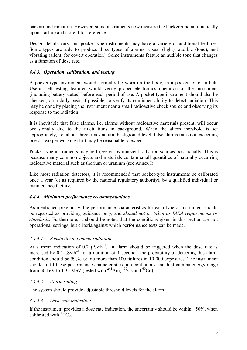background radiation. However, some instruments now measure the background automatically upon start-up and store it for reference.

Design details vary, but pocket-type instruments may have a variety of additional features. Some types are able to produce three types of alarms: visual (light), audible (tone), and vibrating (silent, for covert operation). Some instruments feature an audible tone that changes as a function of dose rate.

# *4.4.3. Operation, calibration, and testing*

A pocket-type instrument would normally be worn on the body, in a pocket, or on a belt. Useful self-testing features would verify proper electronics operation of the instrument (including battery status) before each period of use. A pocket-type instrument should also be checked, on a daily basis if possible, to verify its continued ability to detect radiation. This may be done by placing the instrument near a small radioactive check source and observing its response to the radiation.

It is inevitable that false alarms, i.e. alarms without radioactive materials present, will occur occasionally due to the fluctuations in background. When the alarm threshold is set appropriately, i.e. about three times natural background level, false alarms rates not exceeding one or two per working shift may be reasonable to expect.

Pocket-type instruments may be triggered by innocent radiation sources occasionally. This is because many common objects and materials contain small quantities of naturally occurring radioactive material such as thorium or uranium (see Annex I).

Like most radiation detectors, it is recommended that pocket-type instruments be calibrated once a year (or as required by the national regulatory authority), by a qualified individual or maintenance facility.

# *4.4.4. Minimum performance recommendations*

As mentioned previously, the performance characteristics for each type of instrument should be regarded as providing guidance only, and *should not be taken as IAEA requirements or standards.* Furthermore, it should be noted that the conditions given in this section are not operational settings, but criteria against which performance tests can be made.

# *4.4.4.1. Sensitivity to gamma radiation*

At a mean indication of 0.2  $\mu Sv\cdot h^{-1}$ , an alarm should be triggered when the dose rate is increased by 0.1  $\mu Sv \cdot h^{-1}$  for a duration of 1 second. The probability of detecting this alarm condition should be 99%, i.e. no more than 100 failures in 10 000 exposures. The instrument should fulfil these performance characteristics in a continuous, incident gamma energy range from 60 keV to 1.33 MeV (tested with <sup>241</sup>Am, <sup>137</sup>Cs and <sup>60</sup>Co).

# *4.4.4.2. Alarm setting*

The system should provide adjustable threshold levels for the alarm.

# *4.4.4.3. Dose rate indication*

If the instrument provides a dose rate indication, the uncertainty should be within  $\pm 50\%$ , when calibrated with  $^{137}Cs$ .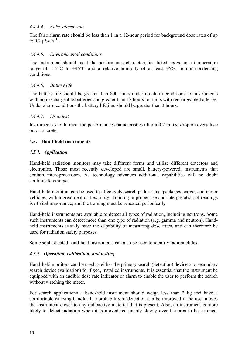## *4.4.4.4. False alarm rate*

The false alarm rate should be less than 1 in a 12-hour period for background dose rates of up to  $0.2 \mu Sv·h^{-1}$ .

## *4.4.4.5. Environmental conditions*

The instrument should meet the performance characteristics listed above in a temperature range of  $-15^{\circ}$ C to  $+45^{\circ}$ C and a relative humidity of at least 95%, in non-condensing conditions.

## *4.4.4.6. Battery life*

The battery life should be greater than 800 hours under no alarm conditions for instruments with non-rechargeable batteries and greater than 12 hours for units with rechargeable batteries. Under alarm conditions the battery lifetime should be greater than 3 hours.

#### *4.4.4.7. Drop test*

Instruments should meet the performance characteristics after a 0.7 m test-drop on every face onto concrete.

## **4.5. Hand-held instruments**

## *4.5.1. Application*

Hand-held radiation monitors may take different forms and utilize different detectors and electronics. Those most recently developed are small, battery-powered, instruments that contain microprocessors. As technology advances additional capabilities will no doubt continue to emerge.

Hand-held monitors can be used to effectively search pedestrians, packages, cargo, and motor vehicles, with a great deal of flexibility. Training in proper use and interpretation of readings is of vital importance, and the training must be repeated periodically.

Hand-held instruments are available to detect all types of radiation, including neutrons. Some such instruments can detect more than one type of radiation (e.g. gamma and neutron). Handheld instruments usually have the capability of measuring dose rates, and can therefore be used for radiation safety purposes.

Some sophisticated hand-held instruments can also be used to identify radionuclides.

## *4.5.2. Operation, calibration, and testing*

Hand-held monitors can be used as either the primary search (detection) device or a secondary search device (validation) for fixed, installed instruments. It is essential that the instrument be equipped with an audible dose rate indicator or alarm to enable the user to perform the search without watching the meter.

For search applications a hand-held instrument should weigh less than 2 kg and have a comfortable carrying handle. The probability of detection can be improved if the user moves the instrument closer to any radioactive material that is present. Also, an instrument is more likely to detect radiation when it is moved reasonably slowly over the area to be scanned.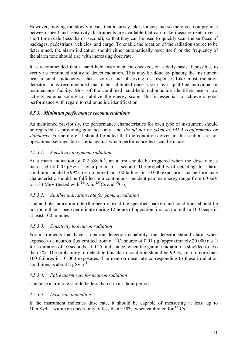However, moving too slowly means that a survey takes longer, and so there is a compromise between speed and sensitivity. Instruments are available that can make measurements over a short time scale (less than 1 second), so that they can be used to quickly scan the surfaces of packages, pedestrians, vehicles, and cargo. To enable the location of the radiation source to be determined, the alarm indication should either automatically reset itself, or the frequency of the alarm tone should rise with increasing dose rate.

It is recommended that a hand-held instrument be checked, on a daily basis if possible, to verify its continued ability to detect radiation. This may be done by placing the instrument near a small radioactive check source and observing its response. Like most radiation detectors, it is recommended that it be calibrated once a year by a qualified individual or maintenance facility. Most of the combined hand-held radionuclide identifiers use a low activity gamma source to stabilize the energy scale. This is essential to achieve a good performance with regard to radionuclide identification.

# *4.5.3. Minimum performance recommendations*

As mentioned previously, the performance characteristics for each type of instrument should be regarded as providing guidance only, and *should not be taken as IAEA requirements or standards.* Furthermore, it should be noted that the conditions given in this section are not operational settings, but criteria against which performance tests can be made.

# *4.5.3.1. Sensitivity to gamma radiation*

At a mean indication of  $0.2 \mu Sv·h^{-1}$ , an alarm should be triggered when the dose rate is increased by  $0.05 \mu Sv·h^{-1}$  for a period of 1 second. The probability of detecting this alarm condition should be 99%, i.e. no more than 100 failures in 10 000 exposure. This performance characteristic should be fulfilled in a continuous, incident gamma energy range from 60 keV to 1.33 MeV (tested with <sup>241</sup>Am, <sup>137</sup>Cs and <sup>60</sup>Co).

## *4.5.3.2. Audible indication rate for gamma radiation*

The audible indication rate (the beep rate) at the specified background conditions should be not more than 1 beep per minute during 12 hours of operation, i.e. not more than 100 beeps in at least 100 minutes.

# *4.5.3.3. Sensitivity to neutron radiation*

For instruments that have a neutron detection capability, the detector should alarm when exposed to a neutron flux emitted from a <sup>252</sup>Cf source of 0.01 µg (approximately 20 000 n·s<sup>-1</sup>) for a duration of 10 seconds, at 0.25 m distance, when the gamma radiation is shielded to less than 1%. The probability of detecting this alarm condition should be 99 %, i.e. no more than 100 failures in 10 000 exposures. The neutron dose rate corresponding to these irradiation conditions is about 2  $\mu$ Sv·h<sup>-1</sup>.

## *4.5.3.4. False alarm rate for neutron radiation*

The false alarm rate should be less than 6 in a 1-hour period.

## *4.5.3.5. Dose rate indication*

If the instrument indicates dose rate, it should be capable of measuring at least up to 10 mSv·h<sup>-1</sup> within an uncertainty of less than  $+30\%$ , when calibrated for <sup>137</sup>Cs.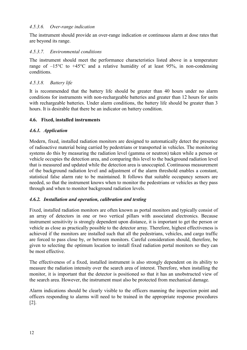## *4.5.3.6. Over-range indication*

The instrument should provide an over-range indication or continuous alarm at dose rates that are beyond its range.

# *4.5.3.7. Environmental conditions*

The instrument should meet the performance characteristics listed above in a temperature range of  $-15^{\circ}$ C to  $+45^{\circ}$ C and a relative humidity of at least 95%, in non-condensing conditions.

# *4.5.3.8. Battery life*

It is recommended that the battery life should be greater than 40 hours under no alarm conditions for instruments with non-rechargeable batteries and greater than 12 hours for units with rechargeable batteries. Under alarm conditions, the battery life should be greater than 3 hours. It is desirable that there be an indicator on battery condition.

# **4.6. Fixed, installed instruments**

# *4.6.1. Application*

Modern, fixed, installed radiation monitors are designed to automatically detect the presence of radioactive material being carried by pedestrians or transported in vehicles. The monitoring systems do this by measuring the radiation level (gamma or neutron) taken while a person or vehicle occupies the detection area, and comparing this level to the background radiation level that is measured and updated while the detection area is unoccupied. Continuous measurement of the background radiation level and adjustment of the alarm threshold enables a constant, statistical false alarm rate to be maintained. It follows that suitable occupancy sensors are needed, so that the instrument knows when to monitor the pedestrians or vehicles as they pass through and when to monitor background radiation levels.

## *4.6.2. Installation and operation, calibration and testing*

Fixed, installed radiation monitors are often known as portal monitors and typically consist of an array of detectors in one or two vertical pillars with associated electronics. Because instrument sensitivity is strongly dependent upon distance, it is important to get the person or vehicle as close as practically possible to the detector array. Therefore, highest effectiveness is achieved if the monitors are installed such that all the pedestrians, vehicles, and cargo traffic are forced to pass close by, or between monitors. Careful consideration should, therefore, be given to selecting the optimum location to install fixed radiation portal monitors so they can be most effective.

The effectiveness of a fixed, installed instrument is also strongly dependent on its ability to measure the radiation intensity over the search area of interest. Therefore, when installing the monitor, it is important that the detector is positioned so that it has an unobstructed view of the search area. However, the instrument must also be protected from mechanical damage.

Alarm indications should be clearly visible to the officers manning the inspection point and officers responding to alarms will need to be trained in the appropriate response procedures [2].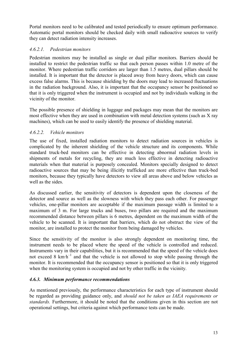Portal monitors need to be calibrated and tested periodically to ensure optimum performance. Automatic portal monitors should be checked daily with small radioactive sources to verify they can detect radiation intensity increases.

# *4.6.2.1. Pedestrian monitors*

Pedestrian monitors may be installed as single or dual pillar monitors. Barriers should be installed to restrict the pedestrian traffic so that each person passes within 1.0 metre of the monitor. Where pedestrian traffic corridors are larger than 1.5 metres, dual pillars should be installed. It is important that the detector is placed away from heavy doors, which can cause excess false alarms. This is because shielding by the doors may lead to increased fluctuations in the radiation background. Also, it is important that the occupancy sensor be positioned so that it is only triggered when the instrument is occupied and not by individuals walking in the vicinity of the monitor.

The possible presence of shielding in luggage and packages may mean that the monitors are most effective when they are used in combination with metal detection systems (such as X ray machines), which can be used to easily identify the presence of shielding material.

# *4.6.2.2. Vehicle monitors*

The use of fixed, installed radiation monitors to detect radiation sources in vehicles is complicated by the inherent shielding of the vehicle structure and its components. While standard truck-bed monitors can be effective in detecting abnormal radiation levels in shipments of metals for recycling, they are much less effective in detecting radioactive materials when that material is purposely concealed. Monitors specially designed to detect radioactive sources that may be being illicitly trafficked are more effective than truck-bed monitors, because they typically have detectors to view all areas above and below vehicles as well as the sides.

As discussed earlier, the sensitivity of detectors is dependent upon the closeness of the detector and source as well as the slowness with which they pass each other. For passenger vehicles, one-pillar monitors are acceptable if the maximum passage width is limited to a maximum of 3 m. For large trucks and buses, two pillars are required and the maximum recommended distance between pillars is 6 metres, dependent on the maximum width of the vehicle to be scanned. It is important that barriers, which do not obstruct the view of the monitor, are installed to protect the monitor from being damaged by vehicles.

Since the sensitivity of the monitor is also strongly dependent on monitoring time, the instrument needs to be placed where the speed of the vehicle is controlled and reduced. Instruments vary in their capabilities, but it is recommended that the speed of the vehicle does not exceed 8  $km\cdot h^{-1}$  and that the vehicle is not allowed to stop while passing through the monitor. It is recommended that the occupancy sensor is positioned so that it is only triggered when the monitoring system is occupied and not by other traffic in the vicinity.

## *4.6.3. Minimum performance recommendations*

As mentioned previously, the performance characteristics for each type of instrument should be regarded as providing guidance only, and *should not be taken as IAEA requirements or standards.* Furthermore, it should be noted that the conditions given in this section are not operational settings, but criteria against which performance tests can be made.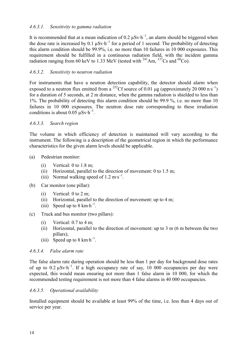## *4.6.3.1. Sensitivity to gamma radiation*

It is recommended that at a mean indication of 0.2  $\mu Sv·h^{-1}$ , an alarm should be triggered when the dose rate is increased by 0.1  $\mu$ Sv·h<sup>-1</sup> for a period of 1 second. The probability of detecting this alarm condition should be 99.9%, i.e. no more than 10 failures in 10 000 exposures. This requirement should be fulfilled in a continuous radiation field, with the incident gamma radiation ranging from 60 keV to 1.33 MeV (tested with <sup>241</sup>Am, <sup>137</sup>Cs and <sup>60</sup>Co).

## *4.6.3.2. Sensitivity to neutron radiation*

For instruments that have a neutron detection capability, the detector should alarm when exposed to a neutron flux emitted from a <sup>252</sup>Cf source of 0.01 µg (approximately 20 000 n·s<sup>-1</sup>) for a duration of 5 seconds, at 2 m distance, when the gamma radiation is shielded to less than 1%. The probability of detecting this alarm condition should be 99.9 %, i.e. no more than 10 failures in 10 000 exposures. The neutron dose rate corresponding to these irradiation conditions is about 0.05  $\mu$ Sv·h<sup>-1</sup>.

## *4.6.3.3. Search region*

The volume in which efficiency of detection is maintained will vary according to the instrument. The following is a description of the geometrical region in which the performance characteristics for the given alarm levels should be applicable.

## (a) Pedestrian monitor:

- (i) Vertical:  $0$  to  $1.8$  m;
- (ii) Horizontal, parallel to the direction of movement: 0 to 1.5 m;
- (iii) Normal walking speed of  $1.2 \text{ m} \cdot \text{s}^{-1}$ .

## (b) Car monitor (one pillar):

- (i) Vertical: 0 to 2 m;
- (ii) Horizontal, parallel to the direction of movement: up to 4 m;
- (iii) Speed up to  $8 \text{ km} \cdot \text{h}^{-1}$ .
- (c) Truck and bus monitor (two pillars):
	- (i) Vertical:  $0.7$  to  $4$  m;
	- (ii) Horizontal, parallel to the direction of movement: up to 3 m (6 m between the two pillars);
	- (iii) Speed up to  $8 \text{ km} \cdot \text{h}^{-1}$ .

#### *4.6.3.4. False alarm rate*

The false alarm rate during operation should be less than 1 per day for background dose rates of up to  $0.2 \mu Sv·h^{-1}$ . If a high occupancy rate of say, 10 000 occupancies per day were expected, this would mean ensuring not more than 1 false alarm in 10 000, for which the recommended testing requirement is not more than 4 false alarms in 40 000 occupancies.

#### *4.6.3.5. Operational availability*

Installed equipment should be available at least 99% of the time, i.e. less than 4 days out of service per year.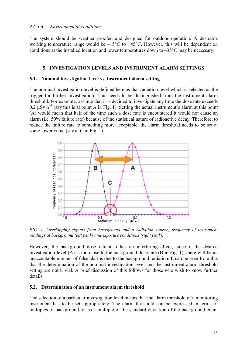## *4.6.3.6. Environmental conditions*

The system should be weather proofed and designed for outdoor operation. A desirable working temperature range would be  $-15^{\circ}$ C to  $+45^{\circ}$ C. However, this will be dependent on conditions at the installed location and lower temperatures down to –35°C may be necessary.

#### **5. INVESTIGATION LEVELS AND INSTRUMENT ALARM SETTINGS**

#### **5.1. Nominal investigation level vs. instrument alarm setting**

The nominal investigation level is defined here as that radiation level which is selected as the trigger for further investigation. This needs to be distinguished from the instrument alarm threshold. For example, assume that it is decided to investigate any time the dose rate exceeds 0.2  $\mu$ Sv·h<sup>-1</sup> (say this is at point A in Fig. 1). Setting the actual instrument's alarm at this point (A) would mean that half of the time such a dose rate is encountered it would not cause an alarm (i.e. 50% failure rate) because of the statistical nature of radioactive decay. Therefore, to reduce the failure rate to something more acceptable, the alarm threshold needs to be set at some lower value (say at C in Fig. 1).



*FIG. 1. Overlapping signals from background and a radiation source; frequency of instrument readings at background (left peak) and exposure conditions (right peak).* 

However, the background dose rate also has an interfering effect, since if the desired investigation level (A) is too close to the background dose rate (B in Fig. 1), there will be an unacceptable number of false alarms due to the background radiation. It can be seen from this that the determination of the nominal investigation level and the instrument alarm threshold setting are not trivial. A brief discussion of this follows for those who wish to know further details.

#### **5.2. Determination of an instrument alarm threshold**

The selection of a particular investigation level means that the alarm threshold of a monitoring instrument has to be set appropriately. The alarm threshold can be expressed in terms of multiples of background, or as a multiple of the standard deviation of the background count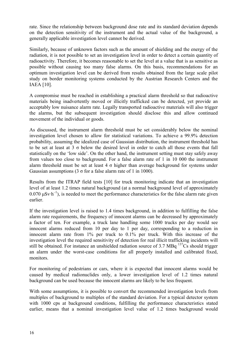rate. Since the relationship between background dose rate and its standard deviation depends on the detection sensitivity of the instrument and the actual value of the background, a generally applicable investigation level cannot be derived.

Similarly, because of unknown factors such as the amount of shielding and the energy of the radiation, it is not possible to set an investigation level in order to detect a certain quantity of radioactivity. Therefore, it becomes reasonable to set the level at a value that is as sensitive as possible without causing too many false alarms. On this basis, recommendations for an optimum investigation level can be derived from results obtained from the large scale pilot study on border monitoring systems conducted by the Austrian Research Centers and the IAEA [10].

A compromise must be reached in establishing a practical alarm threshold so that radioactive materials being inadvertently moved or illicitly trafficked can be detected, yet provide an acceptably low nuisance alarm rate. Legally transported radioactive materials will also trigger the alarms, but the subsequent investigation should disclose this and allow continued movement of the individual or goods.

As discussed, the instrument alarm threshold must be set considerably below the nominal investigation level chosen to allow for statistical variations. To achieve a 99.9% detection probability, assuming the idealized case of Gaussian distribution, the instrument threshold has to be set at least at  $3\sigma$  below the desired level in order to catch all those events that fall statistically on the 'low side'. On the other hand, the instrument setting must stay safely away from values too close to background. For a false alarm rate of 1 in 10 000 the instrument alarm threshold must be set at least 4  $\sigma$  higher than average background for systems under Gaussian assumptions (3  $\sigma$  for a false alarm rate of 1 in 1000).

Results from the ITRAP field tests [10] for truck monitoring indicate that an investigation level of at least 1.2 times natural background (at a normal background level of approximately  $0.070 \mu Sv·h^{-1}$ ), is needed to meet the performance characteristics for the false alarm rate given earlier.

If the investigation level is raised to 1.4 times background, in addition to fulfilling the false alarm rate requirements, the frequency of innocent alarms can be decreased by approximately a factor of ten. For example, a truck lane handling some 1000 trucks per day would see innocent alarms reduced from 10 per day to 1 per day, corresponding to a reduction in innocent alarm rate from 1% per truck to 0.1% per truck. With this increase of the investigation level the required sensitivity of detection for real illicit trafficking incidents will still be obtained. For instance an unshielded radiation source of 3.7 MBq <sup>137</sup>Cs should trigger an alarm under the worst-case conditions for all properly installed and calibrated fixed, monitors.

For monitoring of pedestrians or cars, where it is expected that innocent alarms would be caused by medical radionuclides only, a lower investigation level of 1.2 times natural background can be used because the innocent alarms are likely to be less frequent.

With some assumptions, it is possible to convert the recommended investigation levels from multiples of background to multiples of the standard deviation. For a typical detector system with 1000 cps at background conditions, fulfilling the performance characteristics stated earlier, means that a nominal investigation level value of 1.2 times background would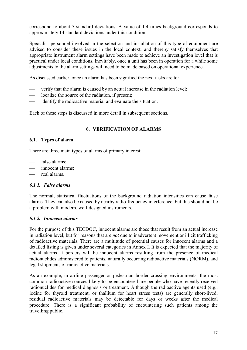correspond to about 7 standard deviations. A value of 1.4 times background corresponds to approximately 14 standard deviations under this condition.

Specialist personnel involved in the selection and installation of this type of equipment are advised to consider these issues in the local context, and thereby satisfy themselves that appropriate instrument alarm settings have been made to achieve an investigation level that is practical under local conditions. Inevitably, once a unit has been in operation for a while some adjustments to the alarm settings will need to be made based on operational experience.

As discussed earlier, once an alarm has been signified the next tasks are to:

- verify that the alarm is caused by an actual increase in the radiation level;
- localize the source of the radiation, if present;
- identify the radioactive material and evaluate the situation.

Each of these steps is discussed in more detail in subsequent sections.

# **6. VERIFICATION OF ALARMS**

# **6.1. Types of alarm**

There are three main types of alarms of primary interest:

- false alarms;
- innocent alarms;
- real alarms.

## *6.1.1. False alarms*

The normal, statistical fluctuations of the background radiation intensities can cause false alarms. They can also be caused by nearby radio-frequency interference, but this should not be a problem with modern, well-designed instruments.

## *6.1.2. Innocent alarms*

For the purpose of this TECDOC, innocent alarms are those that result from an actual increase in radiation level, but for reasons that are *not* due to inadvertent movement or illicit trafficking of radioactive materials. There are a multitude of potential causes for innocent alarms and a detailed listing is given under several categories in Annex I. It is expected that the majority of actual alarms at borders will be innocent alarms resulting from the presence of medical radionuclides administered to patients, naturally occurring radioactive materials (NORM), and legal shipments of radioactive materials.

As an example, in airline passenger or pedestrian border crossing environments, the most common radioactive sources likely to be encountered are people who have recently received radionuclides for medical diagnosis or treatment. Although the radioactive agents used (e.g., iodine for thyroid treatment, or thallium for heart stress tests) are generally short-lived, residual radioactive materials may be detectable for days or weeks after the medical procedure. There is a significant probability of encountering such patients among the travelling public.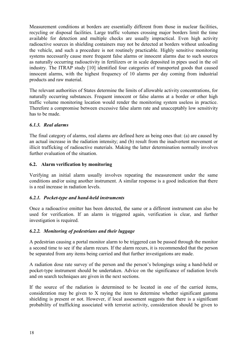Measurement conditions at borders are essentially different from those in nuclear facilities, recycling or disposal facilities. Large traffic volumes crossing major borders limit the time available for detection and multiple checks are usually impractical. Even high activity radioactive sources in shielding containers may not be detected at borders without unloading the vehicle, and such a procedure is not routinely practicable. Highly sensitive monitoring systems necessarily cause more frequent false alarms or innocent alarms due to such sources as naturally occurring radioactivity in fertilizers or in scale deposited in pipes used in the oil industry. The ITRAP study [10] identified four categories of transported goods that caused innocent alarms, with the highest frequency of 10 alarms per day coming from industrial products and raw material.

The relevant authorities of States determine the limits of allowable activity concentrations, for naturally occurring substances. Frequent innocent or false alarms at a border or other high traffic volume monitoring location would render the monitoring system useless in practice. Therefore a compromise between excessive false alarm rate and unacceptably low sensitivity has to be made.

# *6.1.3. Real alarms*

The final category of alarms, real alarms are defined here as being ones that: (a) are caused by an actual increase in the radiation intensity; and (b) result from the inadvertent movement or illicit trafficking of radioactive materials. Making the latter determination normally involves further evaluation of the situation.

# **6.2. Alarm verification by monitoring**

Verifying an initial alarm usually involves repeating the measurement under the same conditions and/or using another instrument. A similar response is a good indication that there is a real increase in radiation levels.

## *6.2.1. Pocket-type and hand-held instruments*

Once a radioactive emitter has been detected, the same or a different instrument can also be used for verification. If an alarm is triggered again, verification is clear, and further investigation is required.

# *6.2.2. Monitoring of pedestrians and their luggage*

A pedestrian causing a portal monitor alarm to be triggered can be passed through the monitor a second time to see if the alarm recurs. If the alarm recurs, it is recommended that the person be separated from any items being carried and that further investigations are made.

A radiation dose rate survey of the person and the person's belongings using a hand-held or pocket-type instrument should be undertaken. Advice on the significance of radiation levels and on search techniques are given in the next sections.

If the source of the radiation is determined to be located in one of the carried items, consideration may be given to X raying the item to determine whether significant gamma shielding is present or not. However, if local assessment suggests that there is a significant probability of trafficking associated with terrorist activity, consideration should be given to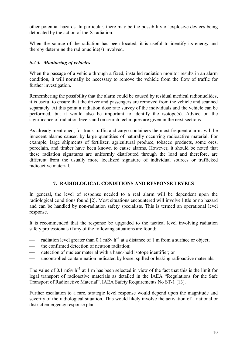other potential hazards. In particular, there may be the possibility of explosive devices being detonated by the action of the X radiation.

When the source of the radiation has been located, it is useful to identify its energy and thereby determine the radionuclide(s) involved.

# *6.2.3. Monitoring of vehicles*

When the passage of a vehicle through a fixed, installed radiation monitor results in an alarm condition, it will normally be necessary to remove the vehicle from the flow of traffic for further investigation.

Remembering the possibility that the alarm could be caused by residual medical radionuclides, it is useful to ensure that the driver and passengers are removed from the vehicle and scanned separately. At this point a radiation dose rate survey of the individuals and the vehicle can be performed, but it would also be important to identify the isotope(s). Advice on the significance of radiation levels and on search techniques are given in the next sections.

As already mentioned, for truck traffic and cargo containers the most frequent alarms will be innocent alarms caused by large quantities of naturally occurring radioactive material. For example, large shipments of fertilizer, agricultural produce, tobacco products, some ores, porcelain, and timber have been known to cause alarms. However, it should be noted that these radiation signatures are uniformly distributed through the load and therefore, are different from the usually more localized signature of individual sources or trafficked radioactive material.

# **7. RADIOLOGICAL CONDITIONS AND RESPONSE LEVELS**

In general, the level of response needed to a real alarm will be dependent upon the radiological conditions found [2]. Most situations encountered will involve little or no hazard and can be handled by non-radiation safety specialists. This is termed an operational level response.

It is recommended that the response be upgraded to the tactical level involving radiation safety professionals if any of the following situations are found:

- radiation level greater than  $0.1 \text{ mSv·h}^{-1}$  at a distance of 1 m from a surface or object;
- $\frac{1}{\sqrt{1-\frac{1}{\sqrt{1-\frac{1}{\sqrt{1-\frac{1}{\sqrt{1-\frac{1}{\sqrt{1-\frac{1}{\sqrt{1-\frac{1}{\sqrt{1-\frac{1}{\sqrt{1-\frac{1}{\sqrt{1-\frac{1}{\sqrt{1-\frac{1}{\sqrt{1-\frac{1}{\sqrt{1-\frac{1}{\sqrt{1-\frac{1}{\sqrt{1-\frac{1}{\sqrt{1-\frac{1}{\sqrt{1-\frac{1}{\sqrt{1-\frac{1}{\sqrt{1-\frac{1}{\sqrt{1-\frac{1}{\sqrt{1-\frac{1}{\sqrt{1-\frac{1}{\sqrt{1-\frac{1}{\sqrt{1-\frac{1}{\sqrt{1-\frac{1}{$
- detection of nuclear material with a hand-held isotope identifier; or
- uncontrolled contamination indicated by loose, spilled or leaking radioactive materials.

The value of 0.1 mSv $\cdot$ h<sup>-1</sup> at 1 m has been selected in view of the fact that this is the limit for legal transport of radioactive materials as detailed in the IAEA "Regulations for the Safe Transport of Radioactive Material", IAEA Safety Requirements No ST-1 [13].

Further escalation to a rare, strategic level response would depend upon the magnitude and severity of the radiological situation. This would likely involve the activation of a national or district emergency response plan.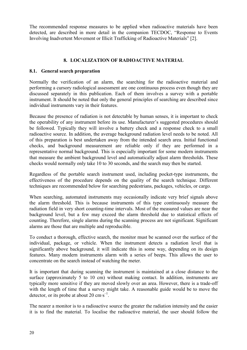The recommended response measures to be applied when radioactive materials have been detected, are described in more detail in the companion TECDOC, "Response to Events Involving Inadvertent Movement or Illicit Trafficking of Radioactive Materials" [2].

# **8. LOCALIZATION OF RADIOACTIVE MATERIAL**

## **8.1. General search preparation**

Normally the verification of an alarm, the searching for the radioactive material and performing a cursory radiological assessment are one continuous process even though they are discussed separately in this publication. Each of them involves a survey with a portable instrument. It should be noted that only the general principles of searching are described since individual instruments vary in their features.

Because the presence of radiation is not detectable by human senses, it is important to check the operability of any instrument before its use. Manufacturer's suggested procedures should be followed. Typically they will involve a battery check and a response check to a small radioactive source. In addition, the average background radiation level needs to be noted. All of this preparation is best undertaken away from the intended search area. Initial functional checks, and background measurement are reliable only if they are performed in a representative normal background. This is especially important for some modern instruments that measure the ambient background level and automatically adjust alarm thresholds. These checks would normally only take 10 to 30 seconds, and the search may then be started.

Regardless of the portable search instrument used, including pocket-type instruments, the effectiveness of the procedure depends on the quality of the search technique. Different techniques are recommended below for searching pedestrians, packages, vehicles, or cargo.

When searching, automated instruments may occasionally indicate very brief signals above the alarm threshold. This is because instruments of this type continuously measure the radiation field in very short counting-time intervals. Most of the measured values are near the background level, but a few may exceed the alarm threshold due to statistical effects of counting. Therefore, single alarms during the scanning process are not significant. Significant alarms are those that are multiple and reproducible.

To conduct a thorough, effective search, the monitor must be scanned over the surface of the individual, package, or vehicle. When the instrument detects a radiation level that is significantly above background, it will indicate this in some way, depending on its design features. Many modern instruments alarm with a series of beeps. This allows the user to concentrate on the search instead of watching the meter.

It is important that during scanning the instrument is maintained at a close distance to the surface (approximately 5 to 10 cm) without making contact. In addition, instruments are typically more sensitive if they are moved slowly over an area. However, there is a trade-off with the length of time that a survey might take. A reasonable guide would be to move the detector, or its probe at about 20  $\text{cm} \cdot \text{s}^{-1}$ .

The nearer a monitor is to a radioactive source the greater the radiation intensity and the easier it is to find the material. To localise the radioactive material, the user should follow the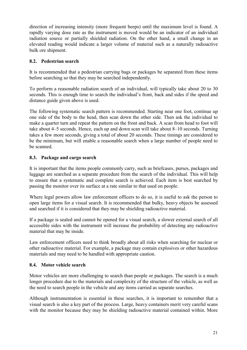direction of increasing intensity (more frequent beeps) until the maximum level is found. A rapidly varying dose rate as the instrument is moved would be an indicator of an individual radiation source or partially shielded radiation. On the other hand, a small change in an elevated reading would indicate a larger volume of material such as a naturally radioactive bulk ore shipment.

# **8.2. Pedestrian search**

It is recommended that a pedestrian carrying bags or packages be separated from these items before searching so that they may be searched independently.

To perform a reasonable radiation search of an individual, will typically take about 20 to 30 seconds. This is enough time to search the individual's front, back and sides if the speed and distance guide given above is used.

The following systematic search pattern is recommended. Starting near one foot, continue up one side of the body to the head, then scan down the other side. Then ask the individual to make a quarter turn and repeat the pattern on the front and back. A scan from head to foot will take about 4–5 seconds. Hence, each up and down scan will take about 8–10 seconds. Turning takes a few more seconds, giving a total of about 20 seconds. These timings are considered to be the minimum, but will enable a reasonable search when a large number of people need to be scanned.

# **8.3. Package and cargo search**

It is important that the items people commonly carry, such as briefcases, purses, packages and luggage are searched as a separate procedure from the search of the individual. This will help to ensure that a systematic and complete search is achieved. Each item is best searched by passing the monitor over its surface at a rate similar to that used on people.

Where legal powers allow law enforcement officers to do so, it is useful to ask the person to open large items for a visual search. It is recommended that bulky, heavy objects be assessed and searched if it is considered that they may be shielding radioactive material.

If a package is sealed and cannot be opened for a visual search, a slower external search of all accessible sides with the instrument will increase the probability of detecting any radioactive material that may be inside.

Law enforcement officers need to think broadly about all risks when searching for nuclear or other radioactive material. For example, a package may contain explosives or other hazardous materials and may need to be handled with appropriate caution.

## **8.4. Motor vehicle search**

Motor vehicles are more challenging to search than people or packages. The search is a much longer procedure due to the materials and complexity of the structure of the vehicle, as well as the need to search people in the vehicle and any items carried as separate searches.

Although instrumentation is essential in these searches, it is important to remember that a visual search is also a key part of the process. Large, heavy containers merit very careful scans with the monitor because they may be shielding radioactive material contained within. More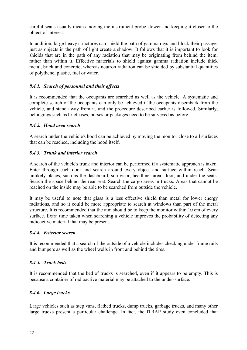careful scans usually means moving the instrument probe slower and keeping it closer to the object of interest.

In addition, large heavy structures can shield the path of gamma rays and block their passage, just as objects in the path of light create a shadow. It follows that it is important to look for shields that are in the path of any radiation that may be originating from behind the item, rather than within it. Effective materials to shield against gamma radiation include thick metal, brick and concrete, whereas neutron radiation can be shielded by substantial quantities of polythene, plastic, fuel or water.

# *8.4.1. Search of personnel and their effects*

It is recommended that the occupants are searched as well as the vehicle. A systematic and complete search of the occupants can only be achieved if the occupants disembark from the vehicle, and stand away from it, and the procedure described earlier is followed. Similarly, belongings such as briefcases, purses or packages need to be surveyed as before.

## *8.4.2. Hood area search*

A search under the vehicle's hood can be achieved by moving the monitor close to all surfaces that can be reached, including the hood itself.

## *8.4.3. Trunk and interior search*

A search of the vehicle's trunk and interior can be performed if a systematic approach is taken. Enter through each door and search around every object and surface within reach. Scan unlikely places, such as the dashboard, sun-visor, headliner area, floor, and under the seats. Search the space behind the rear seat. Search the cargo areas in trucks. Areas that cannot be reached on the inside may be able to be searched from outside the vehicle.

It may be useful to note that glass is a less effective shield than metal for lower energy radiations, and so it could be more appropriate to search at windows than part of the metal structure. It is recommended that the aim should be to keep the monitor within 10 cm of every surface. Extra time taken when searching a vehicle improves the probability of detecting any radioactive material that may be present.

#### *8.4.4. Exterior search*

It is recommended that a search of the outside of a vehicle includes checking under frame rails and bumpers as well as the wheel wells in front and behind the tires.

## *8.4.5. Truck beds*

It is recommended that the bed of trucks is searched, even if it appears to be empty. This is because a container of radioactive material may be attached to the under-surface.

#### *8.4.6. Large trucks*

Large vehicles such as step vans, flatbed trucks, dump trucks, garbage trucks, and many other large trucks present a particular challenge. In fact, the ITRAP study even concluded that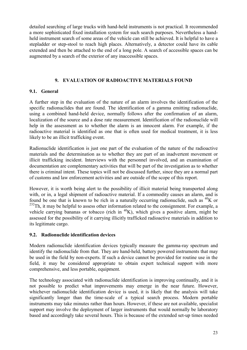detailed searching of large trucks with hand-held instruments is not practical. It recommended a more sophisticated fixed installation system for such search purposes. Nevertheless a handheld instrument search of some areas of the vehicle can still be achieved. It is helpful to have a stepladder or step-stool to reach high places. Alternatively, a detector could have its cable extended and then be attached to the end of a long pole. A search of accessible spaces can be augmented by a search of the exterior of any inaccessible spaces.

# **9. EVALUATION OF RADIOACTIVE MATERIALS FOUND**

# **9.1. General**

A further step in the evaluation of the nature of an alarm involves the identification of the specific radionuclides that are found. The identification of a gamma emitting radionuclide, using a combined hand-held device, normally follows after the confirmation of an alarm, localization of the source and a dose rate measurement. Identification of the radionuclide will help in the assessment as to whether the alarm is an innocent alarm. For example, if the radioactive material is identified as one that is often used for medical treatment, it is less likely to be an illicit trafficking event.

Radionuclide identification is just one part of the evaluation of the nature of the radioactive materials and the determination as to whether they are part of an inadvertent movement or illicit trafficking incident. Interviews with the personnel involved, and an examination of documentation are complementary activities that will be part of the investigation as to whether there is criminal intent. These topics will not be discussed further, since they are a normal part of customs and law enforcement activities and are outside of the scope of this report.

However, it is worth being alert to the possibility of illicit material being transported along with, or in, a legal shipment of radioactive material. If a commodity causes an alarm, and is found be one that is known to be rich in a naturally occurring radionuclide, such as  ${}^{40}$ K or  $^{232}$ Th, it may be helpful to assess other information related to the consignment. For example, a vehicle carrying bananas or tobacco (rich in  ${}^{40}$ K), which gives a positive alarm, might be assessed for the possibility of it carrying illicitly trafficked radioactive materials in addition to its legitimate cargo.

# **9.2. Radionuclide identification devices**

Modern radionuclide identification devices typically measure the gamma-ray spectrum and identify the radionuclide from that. They are hand-held, battery powered instruments that may be used in the field by non-experts. If such a device cannot be provided for routine use in the field, it may be considered appropriate to obtain expert technical support with more comprehensive, and less portable, equipment.

The technology associated with radionuclide identification is improving continually, and it is not possible to predict what improvements may emerge in the near future. However, whichever radionuclide identification device is used, it is likely that the analysis will take significantly longer than the time-scale of a typical search process. Modern portable instruments may take minutes rather than hours. However, if these are not available, specialist support may involve the deployment of larger instruments that would normally be laboratory based and accordingly take several hours. This is because of the extended set-up times needed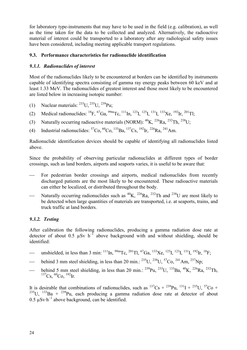for laboratory type-instruments that may have to be used in the field (e.g. calibration), as well as the time taken for the data to be collected and analyzed. Alternatively, the radioactive material of interest could be transported to a laboratory after any radiological safety issues have been considered, including meeting applicable transport regulations.

# **9.3. Performance characteristics for radionuclide identification**

# *9.3.1. Radionuclides of interest*

Most of the radionuclides likely to be encountered at borders can be identified by instruments capable of identifying spectra consisting of gamma ray energy peaks between 60 keV and at least 1.33 MeV. The radionuclides of greatest interest and those most likely to be encountered are listed below in increasing isotopic number:

- (1) Nuclear materials:  $^{233}U, ^{235}U, ^{239}Pu;$
- (2) Medical radionuclides:  ${}^{18}F, {}^{67}Ga, {}^{99m}Te, {}^{111}In, {}^{123}I, {}^{125}I, {}^{131}I, {}^{133}Xe, {}^{192}Ir, {}^{201}Tl;$
- (3) Naturally occurring radioactive materials (NORM):  ${}^{40}$ K,  ${}^{226}$ Ra,  ${}^{232}$ Th,  ${}^{238}$ U;
- (4) Industrial radionuclides:  ${}^{57}Co, {}^{60}Co, {}^{133}Ba, {}^{137}Cs, {}^{192}Ir, {}^{226}Ra, {}^{241}Am.$

Radionuclide identification devices should be capable of identifying all radionuclides listed above.

Since the probability of observing particular radionuclides at different types of border crossings, such as land borders, airports and seaports varies, it is useful to be aware that:

- For pedestrian border crossings and airports, medical radionuclides from recently discharged patients are the most likely to be encountered. These radioactive materials can either be localized, or distributed throughout the body.
- Naturally occurring radionuclides such as  ${}^{40}K$ ,  ${}^{226}Ra$ ,  ${}^{232}Th$  and  ${}^{238}U$  are most likely to be detected when large quantities of materials are transported, i.e. at seaports, trains, and truck traffic at land borders.

# *9.3.2. Testing*

After calibration the following radionuclides, producing a gamma radiation dose rate at detector of about 0.5  $\mu Sv$  h<sup>-1</sup> above background with and without shielding, should be identified:

- unshielded, in less than 3 min: <sup>111</sup>In, <sup>99m</sup>Tc, <sup>201</sup>Tl, <sup>67</sup>Ga, <sup>133</sup>Xe, <sup>125</sup>I, <sup>123</sup>I, <sup>131</sup>I, <sup>192</sup>Ir, <sup>18</sup>F;
- behind 3 mm steel shielding, in less than 20 min.:  $^{235}$ U,  $^{238}$ U,  $^{57}$ Co,  $^{241}$ Am,  $^{237}$ Np;
- behind 5 mm steel shielding, in less than 20 min.:  $^{239}Pu$ ,  $^{233}U$ ,  $^{133}Ba$ ,  $^{40}K$ ,  $^{226}Ra$ ,  $^{232}Th$ ,  $^{137}Cs$   $^{60}Co$   $^{192}Ir$

It is desirable that combinations of radionuclides, such as  $^{137}Cs + ^{239}Pu$ ,  $^{131}I + ^{235}U$ ,  $^{57}Co +$  $^{235}$ U,  $^{133}$ Ba +  $^{239}$ Pu, each producing a gamma radiation dose rate at detector of about  $0.5 \mu Sv·h^{-1}$  above background, can be identified.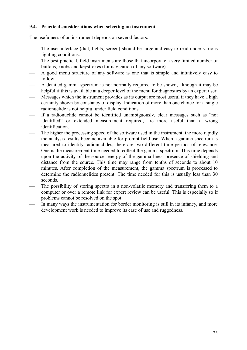## **9.4. Practical considerations when selecting an instrument**

The usefulness of an instrument depends on several factors:

- The user interface (dial, lights, screen) should be large and easy to read under various lighting conditions.
- The best practical, field instruments are those that incorporate a very limited number of buttons, knobs and keystrokes (for navigation of any software).
- A good menu structure of any software is one that is simple and intuitively easy to follow.
- A detailed gamma spectrum is not normally required to be shown, although it may be helpful if this is available at a deeper level of the menu for diagnostics by an expert user.
- Messages which the instrument provides as its output are most useful if they have a high certainty shown by constancy of display. Indication of more than one choice for a single radionuclide is not helpful under field conditions.
- If a radionuclide cannot be identified unambiguously, clear messages such as "not identified" or extended measurement required, are more useful than a wrong identification.
- The higher the processing speed of the software used in the instrument, the more rapidly the analysis results become available for prompt field use. When a gamma spectrum is measured to identify radionuclides, there are two different time periods of relevance. One is the measurement time needed to collect the gamma spectrum. This time depends upon the activity of the source, energy of the gamma lines, presence of shielding and distance from the source. This time may range from tenths of seconds to about 10 minutes. After completion of the measurement, the gamma spectrum is processed to determine the radionuclides present. The time needed for this is usually less than 30 seconds.
- The possibility of storing spectra in a non-volatile memory and transfering them to a computer or over a remote link for expert review can be useful. This is especially so if problems cannot be resolved on the spot.
- In many ways the instrumentation for border monitoring is still in its infancy, and more development work is needed to improve its ease of use and ruggedness.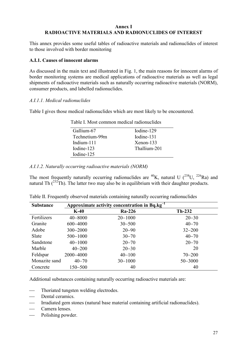## **Annex I RADIOACTIVE MATERIALS AND RADIONUCLIDES OF INTEREST**

This annex provides some useful tables of radioactive materials and radionuclides of interest to those involved with border monitoring

## **A.I.1. Causes of innocent alarms**

As discussed in the main text and illustrated in Fig. 1, the main reasons for innocent alarms of border monitoring systems are medical applications of radioactive materials as well as legal shipments of radioactive materials such as naturally occurring radioactive materials (NORM), consumer products, and labelled radionuclides.

## *A.I.1.1. Medical radionuclides*

Table I gives those medical radionuclides which are most likely to be encountered.

| . wote 1. 191000 eoiiiiiioii iileulemi tuulolluellueo |              |
|-------------------------------------------------------|--------------|
| Gallium-67                                            | Iodine-129   |
| Technetium-99m                                        | Iodine-131   |
| Indium- $111$                                         | $Xenon-133$  |
| Iodine-123                                            | Thallium-201 |
| Iodine-125                                            |              |
|                                                       |              |

Table I. Most common medical radionuclides

## *A.I.1.2. Naturally occurring radioactive materials (NORM)*

The most frequently naturally occurring radionuclides are <sup>40</sup>K, natural U ( $^{238}$ U,  $^{226}$ Ra) and natural Th  $(^{232}Th)$ . The latter two may also be in equilibrium with their daughter products.

| <b>Substance</b> |              | Approximate activity concentration in $Bq.kg^{-1}$ |             |  |
|------------------|--------------|----------------------------------------------------|-------------|--|
|                  | $K-40$       | <b>Ra-226</b>                                      | $Th-232$    |  |
| Fertilizers      | $40 - 8000$  | $20 - 1000$                                        | $20 - 30$   |  |
| Granite          | 600-4000     | $30 - 500$                                         | $40 - 70$   |  |
| Adobe            | $300 - 2000$ | $20 - 90$                                          | $32 - 200$  |  |
| Slate            | $500 - 1000$ | $30 - 70$                                          | $40 - 70$   |  |
| Sandstone        | $40 - 1000$  | $20 - 70$                                          | $20 - 70$   |  |
| Marble           | $40 - 200$   | $20 - 30$                                          | 20          |  |
| Feldspar         | 2000-4000    | $40 - 100$                                         | $70 - 200$  |  |
| Monazite sand    | $40 - 70$    | $30 - 1000$                                        | $50 - 3000$ |  |
| Concrete         | 150-500      | 40                                                 | 40          |  |

Table II. Frequently observed materials containing naturally occurring radionuclides

Additional substances containing naturally occurring radioactive materials are:

— Thoriated tungsten welding electrodes.

- Dental ceramics.
- Irradiated gem stones (natural base material containing artificial radionuclides).
- Camera lenses.
- Polishing powder.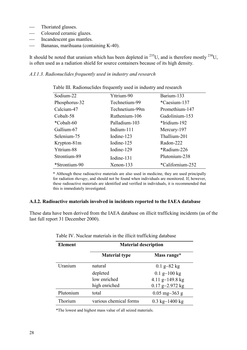- Thoriated glasses.
- Coloured ceramic glazes.
- Incandescent gas mantles.
- Bananas, marihuana (containing K-40).

It should be noted that uranium which has been depleted in  $^{235}$ U, and is therefore mostly  $^{238}$ U, is often used as a radiation shield for source containers because of its high density.

#### *A.I.1.3. Radionuclides frequently used in industry and research*

| Sodium-22     | Yttrium-90     | Barium-133                |
|---------------|----------------|---------------------------|
| Phosphorus-32 | Technetium-99  | *Caesium-137              |
| Calcium-47    | Technetium-99m | Promethium-147            |
| Cobalt-58     | Ruthenium-106  | Gadolinium-153            |
| *Cobalt-60    | Palladium-103  | *Iridium-192              |
| Gallium-67    | Indium- $111$  | Mercury-197               |
| Selenium-75   | Iodine-123     | Thallium-201              |
| Krypton-81m   | Iodine-125     | Radon-222                 |
| Yttrium-88    | Iodine-129     | <i><b>*Radium-226</b></i> |
| Strontium-89  | Iodine-131     | Plutonium-238             |
| *Strontium-90 | $Xenon-133$    | *Californium-252          |

Table III. Radionuclides frequently used in industry and research

\* Although these radioactive materials are also used in medicine, they are used principally for radiation *therapy*, and should not be found when individuals are monitored. If, however, these radioactive materials are identified and verified in individuals, it is recommended that this is immediately investigated.

#### **A.I.2. Radioactive materials involved in incidents reported to the IAEA database**

These data have been derived from the IAEA database on illicit trafficking incidents (as of the last full report 31 December 2000).

| <b>Element</b> | <b>Material description</b> |                                    |  |
|----------------|-----------------------------|------------------------------------|--|
|                | <b>Material type</b>        | Mass range*                        |  |
| Uranium        | natural                     | $0.1$ g-82 kg                      |  |
|                | depleted                    | $0.1$ g-100 kg                     |  |
|                | low enriched                | 4.11 g-149.8 kg                    |  |
|                | high enriched               | $0.17$ g-2.972 kg                  |  |
| Plutonium      | total                       | $0.05$ mg-363 g                    |  |
| Thorium        | various chemical forms      | $0.3 \text{ kg} - 1400 \text{ kg}$ |  |

Table IV. Nuclear materials in the illicit trafficking database

\*The lowest and highest mass value of all seized materials.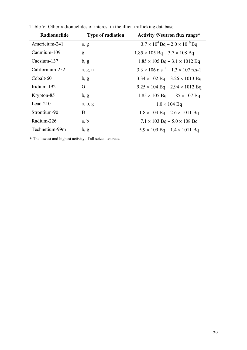| Radionuclide    | <b>Type of radiation</b> | <b>Activity /Neutron flux range*</b>                             |
|-----------------|--------------------------|------------------------------------------------------------------|
| Americium-241   | a, g                     | $3.7 \times 10^4$ Bq $- 2.0 \times 10^{10}$ Bq                   |
| Cadmium-109     | g                        | $1.85 \times 105$ Bq $- 3.7 \times 108$ Bq                       |
| Caesium-137     | b, g                     | $1.85 \times 105$ Bq $- 3.1 \times 1012$ Bq                      |
| Californium-252 | a, g, n                  | $3.3 \times 106 \text{ n.s}^{-1} - 1.3 \times 107 \text{ n.s-1}$ |
| Cobalt-60       | b, g                     | $3.34 \times 102$ Bq $- 3.26 \times 1013$ Bq                     |
| Iridium-192     | G                        | $9.25 \times 104$ Bq $- 2.94 \times 1012$ Bq                     |
| Krypton-85      | b, g                     | $1.85 \times 105$ Bq $- 1.85 \times 107$ Bq                      |
| $Lead-210$      | a, b, g                  | $1.0 \times 104$ Bq                                              |
| Strontium-90    | B                        | $1.8 \times 103$ Bq $- 2.6 \times 1011$ Bq                       |
| Radium-226      | a, b                     | $7.1 \times 103$ Bq $- 5.0 \times 108$ Bq                        |
| Technetium-99m  | b, g                     | $5.9 \times 109$ Bq $- 1.4 \times 1011$ Bq                       |

Table V. Other radionuclides of interest in the illicit trafficking database

The lowest and highest activity of all seized sources.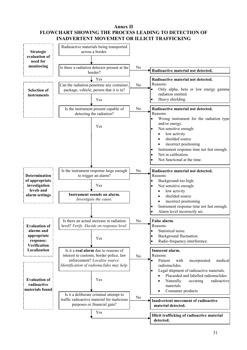#### **Annex II FLOWCHART SHOWING THE PROCESS LEADING TO DETECTION OF INADVERTENT MOVEMENT OR ILLICIT TRAFFICKING**

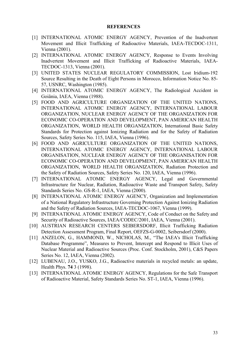#### **REFERENCES**

- [1] INTERNATIONAL ATOMIC ENERGY AGENCY, Prevention of the Inadvertent Movement and Illicit Trafficking of Radioactive Materials, IAEA-TECDOC-1311, Vienna (2001).
- [2] INTERNATIONAL ATOMIC ENERGY AGENCY, Response to Events Involving Inadvertent Movement and Illicit Trafficking of Radioactive Materials, IAEA-TECDOC-1313, Vienna (2001).
- [3] UNITED STATES NUCLEAR REGULATORY COMMISSION, Lost Iridium-192 Source Resulting in the Death of Eight Persons in Morocco, Information Notice No. 85- 57, USNRC, Washington (1985).
- [4] INTERNATIONAL ATOMIC ENERGY AGENCY, The Radiological Accident in Goiânia, IAEA, Vienna (1988).
- [5] FOOD AND AGRICULTURE ORGANIZATION OF THE UNITED NATIONS, INTERNATIONAL ATOMIC ENERGY AGENCY, INTERNATIONAL LABOUR ORGANIZATION, NUCLEAR ENERGY AGENCY OF THE ORGANIZATION FOR ECONOMIC CO-OPERATION AND DEVELOPMENT, PAN AMERICAN HEALTH ORGANIZATION, WORLD HEALTH ORGANIZATION, International Basic Safety Standards for Protection against Ionizing Radiation and for the Safety of Radiation Sources, Safety Series No. 115, IAEA, Vienna (1996).
- [6] FOOD AND AGRICULTURE ORGANIZATION OF THE UNITED NATIONS, INTERNATIONAL ATOMIC ENERGY AGENCY, INTERNATIONAL LABOUR ORGANISATION, NUCLEAR ENERGY AGENCY OF THE ORGANISATION FOR ECONOMIC CO-OPERATION AND DEVELOPMENT, PAN AMERICAN HEALTH ORGANIZATION, WORLD HEALTH ORGANIZATION, Radiation Protection and the Safety of Radiation Sources, Safety Series No. 120, IAEA, Vienna (1996).
- [7] INTERNATIONAL ATOMIC ENERGY AGENCY, Legal and Governmental Infrastructure for Nuclear, Radiation, Radioactive Waste and Transport Safety, Safety Standards Series No. GS-R-1, IAEA, Vienna (2000).
- [8] INTERNATIONAL ATOMIC ENERGY AGENCY, Organization and Implementation of a National Regulatory Infrastructure Governing Protection Against Ionizing Radiation and the Safety of Radiation Sources, IAEA-TECDOC-1067, Vienna (1999).
- [9] INTERNATIONAL ATOMIC ENERGY AGENCY, Code of Conduct on the Safety and Security of Radioactive Sources, IAEA/CODEC/2001, IAEA, Vienna (2001).
- [10] AUSTRIAN RESEARCH CENTERS SEIBERSDORF, Illicit Trafficking Radiation Detection Assessment Program, Final Report, OEFZS-G-0002, Seibersdorf (2000).
- [11] ANZELON, G., HAMMOND, W., NICHOLAS, M., "The IAEA's Illicit Trafficking Database Programme", Measures to Prevent, Intercept and Respond to Illicit Uses of Nuclear Material and Radioactive Sources (Proc. Conf. Stockholm, 2001), C&S Papers Series No. 12, IAEA, Vienna (2002).
- [12] LUBENAU, J.O., YUSKO, J.G., Radioactive materials in recycled metals: an update, Health Phys. **74** 3 (1998).
- [13] INTERNATIONAL ATOMIC ENERGY AGENCY, Regulations for the Safe Transport of Radioactive Material, Safety Standards Series No. ST-1, IAEA, Vienna (1996).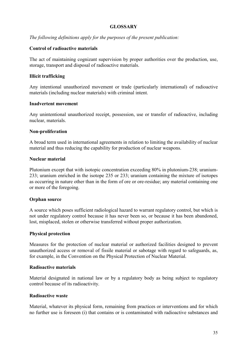## **GLOSSARY**

*The following definitions apply for the purposes of the present publication:* 

# **Control of radioactive materials**

The act of maintaining cognizant supervision by proper authorities over the production, use, storage, transport and disposal of radioactive materials.

# **Illicit trafficking**

Any intentional unauthorized movement or trade (particularly international) of radioactive materials (including nuclear materials) with criminal intent.

## **Inadvertent movement**

Any unintentional unauthorized receipt, possession, use or transfer of radioactive, including nuclear, materials.

# **Non-proliferation**

A broad term used in international agreements in relation to limiting the availability of nuclear material and thus reducing the capability for production of nuclear weapons.

# **Nuclear material**

Plutonium except that with isotopic concentration exceeding 80% in plutonium-238; uranium-233; uranium enriched in the isotope 235 or 233; uranium containing the mixture of isotopes as occurring in nature other than in the form of ore or ore-residue; any material containing one or more of the foregoing.

# **Orphan source**

A source which poses sufficient radiological hazard to warrant regulatory control, but which is not under regulatory control because it has never been so, or because it has been abandoned, lost, misplaced, stolen or otherwise transferred without proper authorization.

## **Physical protection**

Measures for the protection of nuclear material or authorized facilities designed to prevent unauthorized access or removal of fissile material or sabotage with regard to safeguards, as, for example, in the Convention on the Physical Protection of Nuclear Material.

## **Radioactive materials**

Material designated in national law or by a regulatory body as being subject to regulatory control because of its radioactivity.

# **Radioactive waste**

Material, whatever its physical form, remaining from practices or interventions and for which no further use is foreseen (i) that contains or is contaminated with radioactive substances and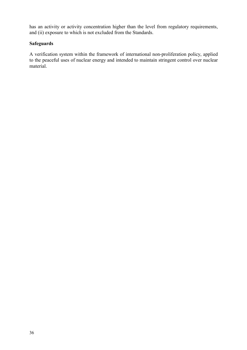has an activity or activity concentration higher than the level from regulatory requirements, and (ii) exposure to which is not excluded from the Standards.

## **Safeguards**

A verification system within the framework of international non-proliferation policy, applied to the peaceful uses of nuclear energy and intended to maintain stringent control over nuclear material.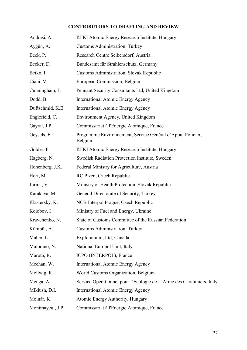# **CONTRIBUTORS TO DRAFTING AND REVIEW**

| Andrasi, A.      | KFKI Atomic Energy Research Institute, Hungary                        |
|------------------|-----------------------------------------------------------------------|
| Aygün, A.        | <b>Customs Administration, Turkey</b>                                 |
| Beck, P.         | Research Centre Seibersdorf, Austria                                  |
| Becker, D.       | Bundesamt für Strahlenschutz, Germany                                 |
| Betko, I.        | <b>Customs Administration, Slovak Republic</b>                        |
| Ciani, V.        | European Commission, Belgium                                          |
| Cunningham, J.   | Pennant Security Consultants Ltd, United Kingdom                      |
| Dodd, B.         | International Atomic Energy Agency                                    |
| Duftschmid, K.E. | <b>International Atomic Energy Agency</b>                             |
| Englefield, C.   | Environment Agency, United Kingdom                                    |
| Gayral, J.P.     | Commissariat à l'Energie Atomique, France                             |
| Geysels, F.      | Programme Environnement, Service Général d'Appui Policier,<br>Belgium |
| Golder, F.       | KFKI Atomic Energy Research Institute, Hungary                        |
| Hagberg, N.      | Swedish Radiation Protection Institute, Sweden                        |
| Hohenberg, J.K.  | Federal Ministry for Agriculture, Austria                             |
| Hort, M          | RC Plzen, Czech Republic                                              |
| Jurina, V.       | Ministry of Health Protection, Slovak Republic                        |
| Karakaya, M.     | General Directorate of Security, Turkey                               |
| Klastersky, K.   | NCB Interpol Prague, Czech Republic                                   |
| Kolobov, I       | Ministry of Fuel and Energy, Ukraine                                  |
| Kravchenko, N.   | State of Customs Committee of the Russian Federation                  |
| Kümbül, A.       | <b>Customs Administration, Turkey</b>                                 |
| Maher, L.        | Exploranium, Ltd, Canada                                              |
| Maiorano, N.     | National Europol Unit, Italy                                          |
| Maroto, R.       | ICPO (INTERPOL), France                                               |
| Meehan, W.       | <b>International Atomic Energy Agency</b>                             |
| Mellwig, R.      | World Customs Organization, Belgium                                   |
| Menga, A.        | Service Opérationnel pour l'Ecologie de L'Arme des Carabiniers, Italy |
| Miklush, D.I.    | International Atomic Energy Agency                                    |
| Molnár, K.       | Atomic Energy Authority, Hungary                                      |
| Montmayeul, J.P. | Commissariat à l'Energie Atomique, France                             |